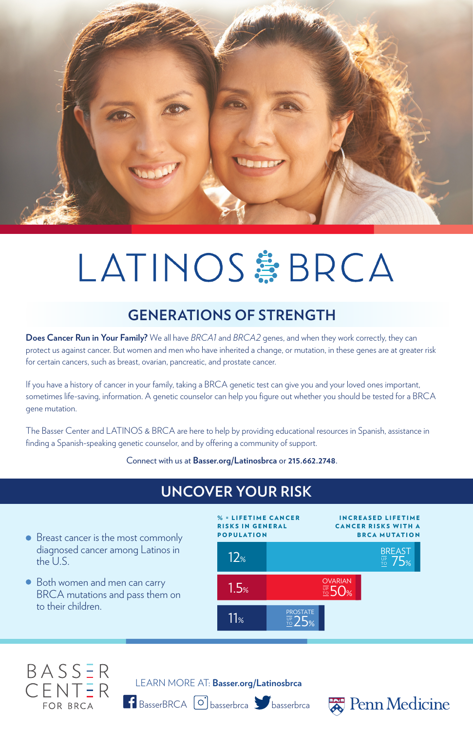

# LATINOS #BRCA

### **GENERATIONS OF STRENGTH**

**Does Cancer Run in Your Family?** We all have *BRCA1* and *BRCA2* genes, and when they work correctly, they can protect us against cancer. But women and men who have inherited a change, or mutation, in these genes are at greater risk for certain cancers, such as breast, ovarian, pancreatic, and prostate cancer.

If you have a history of cancer in your family, taking a BRCA genetic test can give you and your loved ones important, sometimes life-saving, information. A genetic counselor can help you figure out whether you should be tested for a BRCA gene mutation.

> IN CREASED LIFETIME **CANCER RISKS WITH A** BRCA MUTATION

**E LIFETIME CANCER** RISKS IN GENERAL POPULATION

The Basser Center and LATINOS & BRCA are here to help by providing educational resources in Spanish, assistance in finding a Spanish-speaking genetic counselor, and by offering a community of support.

Connect with us at **Basser.org/Latinosbrca** or **215.662.2748**.

### **UNCOVER YOUR RISK**



- Breast cancer is the most commonly diagnosed cancer among Latinos in the U.S.
- Both women and men can carry BRCA mutations and pass them on to their children.